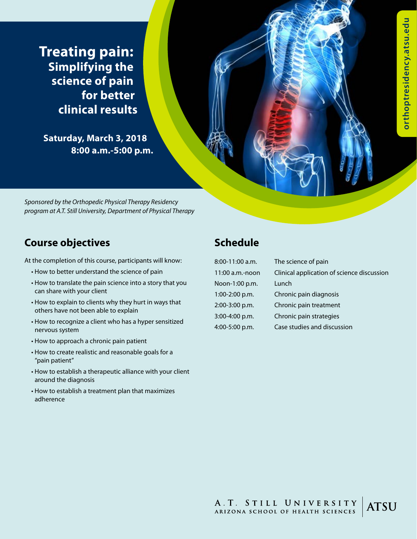**Treating pain: Simplifying the science of pain for better clinical results**

**Saturday, March 3, 2018 8:00 a.m.-5:00 p.m.**

*Sponsored by the Orthopedic Physical Therapy Residency program at A.T. Still University, Department of Physical Therapy*

## **Course objectives**

At the completion of this course, participants will know:

- How to better understand the science of pain
- How to translate the pain science into a story that you can share with your client
- How to explain to clients why they hurt in ways that others have not been able to explain
- How to recognize a client who has a hyper sensitized nervous system
- How to approach a chronic pain patient
- How to create realistic and reasonable goals for a "pain patient"
- How to establish a therapeutic alliance with your client around the diagnosis
- How to establish a treatment plan that maximizes adherence

# **Schedule**

Noon-1:00 p.m. Lunch 1:00-2:00 p.m. Chronic pain diagnosis 2:00-3:00 p.m. Chronic pain treatment 3:00-4:00 p.m. Chronic pain strategies 4:00-5:00 p.m. Case studies and discussion

8:00-11:00 a.m. The science of pain 11:00 a.m.-noon Clinical application of science discussion

A.T. STILL UNIVERSITY<br>ARIZONA SCHOOL OF HEALTH SCIENCES **ATSU**